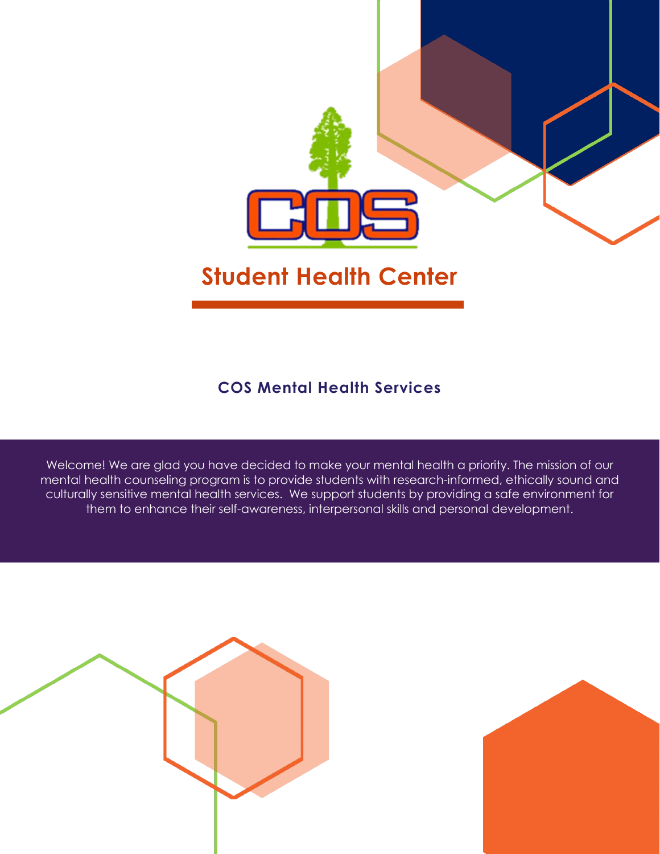

### **Student Health Center**

### **COS Mental Health Services**

Welcome! We are glad you have decided to make your mental health a priority. The mission of our mental health counseling program is to provide students with research-informed, ethically sound and culturally sensitive mental health services. We support students by providing a safe environment for them to enhance their self-awareness, interpersonal skills and personal development.



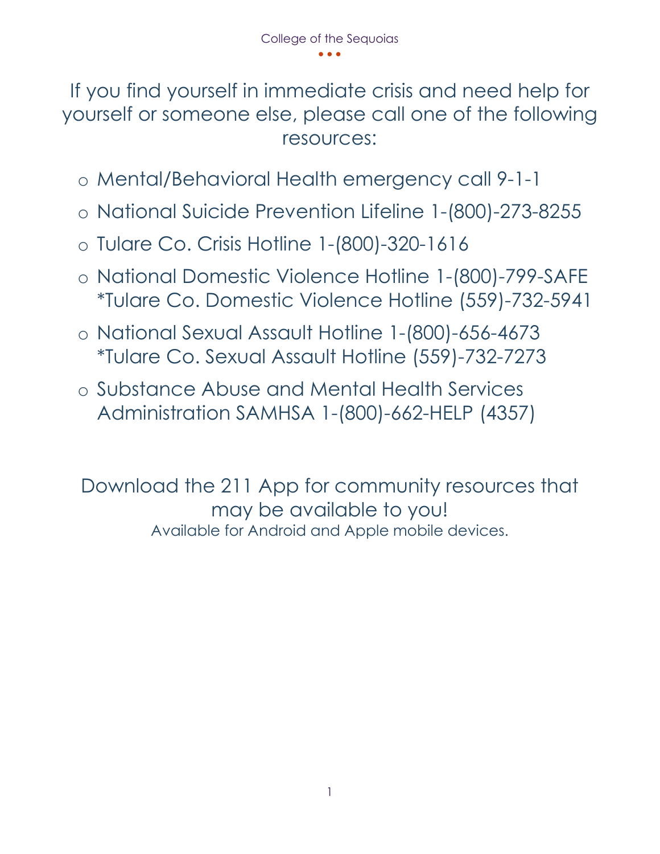If you find yourself in immediate crisis and need help for yourself or someone else, please call one of the following resources:

- o Mental/Behavioral Health emergency call 9-1-1
- o National Suicide Prevention Lifeline 1-(800)-273-8255
- o Tulare Co. Crisis Hotline 1-(800)-320-1616
- o National Domestic Violence Hotline 1-(800)-799-SAFE \*Tulare Co. Domestic Violence Hotline (559)-732-5941
- o National Sexual Assault Hotline 1-(800)-656-4673 \*Tulare Co. Sexual Assault Hotline (559)-732-7273
- o Substance Abuse and Mental Health Services Administration SAMHSA 1-(800)-662-HELP (4357)

Download the 211 App for community resources that may be available to you! Available for Android and Apple mobile devices.